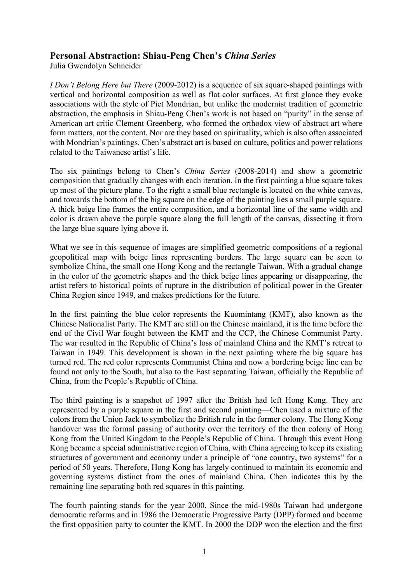## **Personal Abstraction: Shiau-Peng Chen's** *China Series*

Julia Gwendolyn Schneider

*I Don't Belong Here but There* (2009-2012) is a sequence of six square-shaped paintings with vertical and horizontal composition as well as flat color surfaces. At first glance they evoke associations with the style of Piet Mondrian, but unlike the modernist tradition of geometric abstraction, the emphasis in Shiau-Peng Chen's work is not based on "purity" in the sense of American art critic Clement Greenberg, who formed the orthodox view of abstract art where form matters, not the content. Nor are they based on spirituality, which is also often associated with Mondrian's paintings. Chen's abstract art is based on culture, politics and power relations related to the Taiwanese artist's life.

The six paintings belong to Chen's *China Series* (2008-2014) and show a geometric composition that gradually changes with each iteration. In the first painting a blue square takes up most of the picture plane. To the right a small blue rectangle is located on the white canvas, and towards the bottom of the big square on the edge of the painting lies a small purple square. A thick beige line frames the entire composition, and a horizontal line of the same width and color is drawn above the purple square along the full length of the canvas, dissecting it from the large blue square lying above it.

What we see in this sequence of images are simplified geometric compositions of a regional geopolitical map with beige lines representing borders. The large square can be seen to symbolize China, the small one Hong Kong and the rectangle Taiwan. With a gradual change in the color of the geometric shapes and the thick beige lines appearing or disappearing, the artist refers to historical points of rupture in the distribution of political power in the Greater China Region since 1949, and makes predictions for the future.

In the first painting the blue color represents the Kuomintang (KMT), also known as the Chinese Nationalist Party. The KMT are still on the Chinese mainland, it is the time before the end of the Civil War fought between the KMT and the CCP, the Chinese Communist Party. The war resulted in the Republic of China's loss of mainland China and the KMT's retreat to Taiwan in 1949. This development is shown in the next painting where the big square has turned red. The red color represents Communist China and now a bordering beige line can be found not only to the South, but also to the East separating Taiwan, officially the Republic of China, from the People's Republic of China.

The third painting is a snapshot of 1997 after the British had left Hong Kong. They are represented by a purple square in the first and second painting—Chen used a mixture of the colors from the Union Jack to symbolize the British rule in the former colony. The Hong Kong handover was the formal passing of authority over the territory of the then colony of Hong Kong from the United Kingdom to the People's Republic of China. Through this event Hong Kong became a special administrative region of China, with China agreeing to keep its existing structures of government and economy under a principle of "one country, two systems" for a period of 50 years. Therefore, Hong Kong has largely continued to maintain its economic and governing systems distinct from the ones of mainland China. Chen indicates this by the remaining line separating both red squares in this painting.

The fourth painting stands for the year 2000. Since the mid-1980s Taiwan had undergone democratic reforms and in 1986 the Democratic Progressive Party (DPP) formed and became the first opposition party to counter the KMT. In 2000 the DDP won the election and the first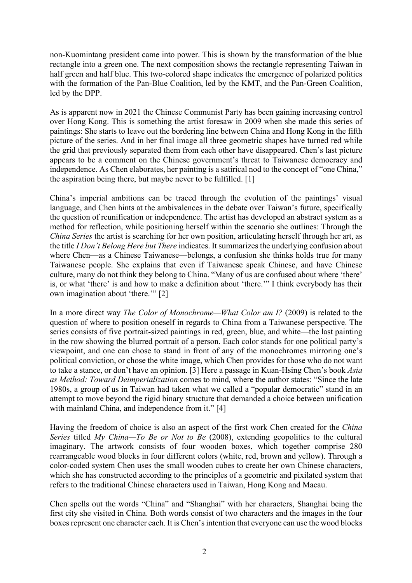non-Kuomintang president came into power. This is shown by the transformation of the blue rectangle into a green one. The next composition shows the rectangle representing Taiwan in half green and half blue. This two-colored shape indicates the emergence of polarized politics with the formation of the Pan-Blue Coalition, led by the KMT, and the Pan-Green Coalition, led by the DPP.

As is apparent now in 2021 the Chinese Communist Party has been gaining increasing control over Hong Kong. This is something the artist foresaw in 2009 when she made this series of paintings: She starts to leave out the bordering line between China and Hong Kong in the fifth picture of the series. And in her final image all three geometric shapes have turned red while the grid that previously separated them from each other have disappeared. Chen's last picture appears to be a comment on the Chinese government's threat to Taiwanese democracy and independence. As Chen elaborates, her painting is a satirical nod to the concept of "one China," the aspiration being there, but maybe never to be fulfilled. [1]

China's imperial ambitions can be traced through the evolution of the paintings' visual language, and Chen hints at the ambivalences in the debate over Taiwan's future, specifically the question of reunification or independence. The artist has developed an abstract system as a method for reflection, while positioning herself within the scenario she outlines: Through the *China Series* the artist is searching for her own position, articulating herself through her art, as the title *I Don't Belong Here but There* indicates. It summarizes the underlying confusion about where Chen—as a Chinese Taiwanese—belongs, a confusion she thinks holds true for many Taiwanese people. She explains that even if Taiwanese speak Chinese, and have Chinese culture, many do not think they belong to China. "Many of us are confused about where 'there' is, or what 'there' is and how to make a definition about 'there.'" I think everybody has their own imagination about 'there.'" [2]

In a more direct way *The Color of Monochrome—What Color am I?* (2009) is related to the question of where to position oneself in regards to China from a Taiwanese perspective. The series consists of five portrait-sized paintings in red, green, blue, and white—the last painting in the row showing the blurred portrait of a person. Each color stands for one political party's viewpoint, and one can chose to stand in front of any of the monochromes mirroring one's political conviction, or chose the white image, which Chen provides for those who do not want to take a stance, or don't have an opinion. [3] Here a passage in Kuan-Hsing Chen's book *Asia as Method: Toward Deimperialization* comes to mind*,* where the author states: "Since the late 1980s, a group of us in Taiwan had taken what we called a "popular democratic" stand in an attempt to move beyond the rigid binary structure that demanded a choice between unification with mainland China, and independence from it." [4]

Having the freedom of choice is also an aspect of the first work Chen created for the *China Series* titled *My China—To Be or Not to Be* (2008), extending geopolitics to the cultural imaginary. The artwork consists of four wooden boxes, which together comprise 280 rearrangeable wood blocks in four different colors (white, red, brown and yellow). Through a color-coded system Chen uses the small wooden cubes to create her own Chinese characters, which she has constructed according to the principles of a geometric and pixilated system that refers to the traditional Chinese characters used in Taiwan, Hong Kong and Macau.

Chen spells out the words "China" and "Shanghai" with her characters, Shanghai being the first city she visited in China. Both words consist of two characters and the images in the four boxes represent one character each. It is Chen's intention that everyone can use the wood blocks